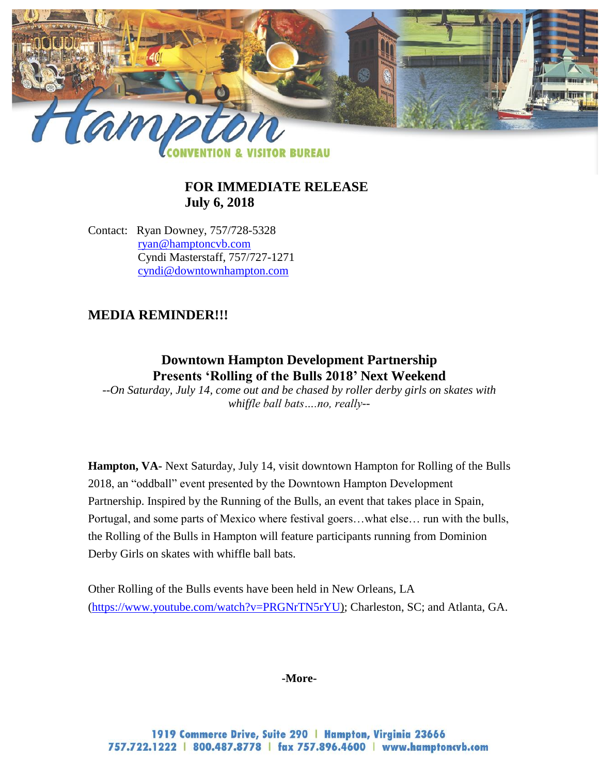

## **FOR IMMEDIATE RELEASE July 6, 2018**

Contact: Ryan Downey, 757/728-5328 [ryan@hamptoncvb.com](mailto:ryan@hamptoncvb.com) Cyndi Masterstaff, 757/727-1271 [cyndi@downtownhampton.com](mailto:cyndi@downtownhampton.com)

# **MEDIA REMINDER!!!**

## **Downtown Hampton Development Partnership Presents 'Rolling of the Bulls 2018' Next Weekend**

*--On Saturday, July 14, come out and be chased by roller derby girls on skates with whiffle ball bats….no, really--*

**Hampton, VA-** Next Saturday, July 14, visit downtown Hampton for Rolling of the Bulls 2018, an "oddball" event presented by the Downtown Hampton Development Partnership. Inspired by the Running of the Bulls, an event that takes place in Spain, Portugal, and some parts of Mexico where festival goers…what else… run with the bulls, the Rolling of the Bulls in Hampton will feature participants running from Dominion Derby Girls on skates with whiffle ball bats.

Other Rolling of the Bulls events have been held in New Orleans, LA [\(https://www.youtube.com/watch?v=PRGNrTN5rYU\)](https://www.youtube.com/watch?v=PRGNrTN5rYU); Charleston, SC; and Atlanta, GA.

#### **-More-**

1919 Commerce Drive, Suite 290 | Hampton, Virginia 23666 757.722.1222 | 800.487.8778 | fax 757.896.4600 | www.hamptoncvb.com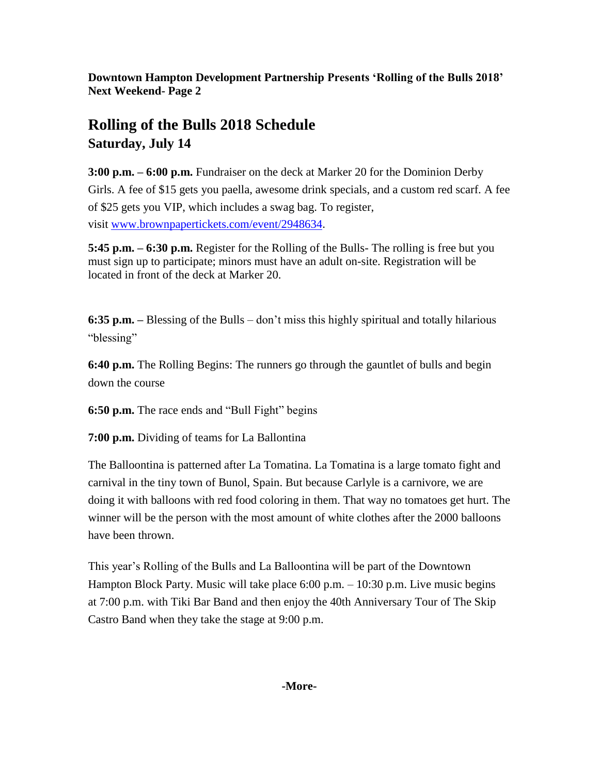**Downtown Hampton Development Partnership Presents 'Rolling of the Bulls 2018' Next Weekend- Page 2**

# **Rolling of the Bulls 2018 Schedule Saturday, July 14**

**3:00 p.m. – 6:00 p.m.** Fundraiser on the deck at Marker 20 for the Dominion Derby Girls. A fee of \$15 gets you paella, awesome drink specials, and a custom red scarf. A fee of \$25 gets you VIP, which includes a swag bag. To register, visit [www.brownpapertickets.com/event/2948634](http://www.brownpapertickets.com/event/2948634).

**5:45 p.m. – 6:30 p.m.** Register for the Rolling of the Bulls- The rolling is free but you must sign up to participate; minors must have an adult on-site. Registration will be located in front of the deck at Marker 20.

**6:35 p.m. –** Blessing of the Bulls – don't miss this highly spiritual and totally hilarious "blessing"

**6:40 p.m.** The Rolling Begins: The runners go through the gauntlet of bulls and begin down the course

**6:50 p.m.** The race ends and "Bull Fight" begins

**7:00 p.m.** Dividing of teams for La Ballontina

The Balloontina is patterned after La Tomatina. La Tomatina is a large tomato fight and carnival in the tiny town of Bunol, Spain. But because Carlyle is a carnivore, we are doing it with balloons with red food coloring in them. That way no tomatoes get hurt. The winner will be the person with the most amount of white clothes after the 2000 balloons have been thrown.

This year's Rolling of the Bulls and La Balloontina will be part of the Downtown Hampton Block Party. Music will take place 6:00 p.m. – 10:30 p.m. Live music begins at 7:00 p.m. with Tiki Bar Band and then enjoy the 40th Anniversary Tour of The Skip Castro Band when they take the stage at 9:00 p.m.

## **-More-**